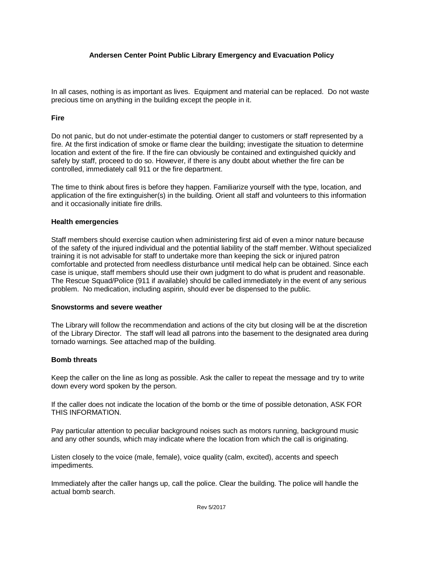# **Andersen Center Point Public Library Emergency and Evacuation Policy**

In all cases, nothing is as important as lives. Equipment and material can be replaced. Do not waste precious time on anything in the building except the people in it.

## **Fire**

Do not panic, but do not under-estimate the potential danger to customers or staff represented by a fire. At the first indication of smoke or flame clear the building; investigate the situation to determine location and extent of the fire. If the fire can obviously be contained and extinguished quickly and safely by staff, proceed to do so. However, if there is any doubt about whether the fire can be controlled, immediately call 911 or the fire department.

The time to think about fires is before they happen. Familiarize yourself with the type, location, and application of the fire extinguisher(s) in the building. Orient all staff and volunteers to this information and it occasionally initiate fire drills.

### **Health emergencies**

Staff members should exercise caution when administering first aid of even a minor nature because of the safety of the injured individual and the potential liability of the staff member. Without specialized training it is not advisable for staff to undertake more than keeping the sick or injured patron comfortable and protected from needless disturbance until medical help can be obtained. Since each case is unique, staff members should use their own judgment to do what is prudent and reasonable. The Rescue Squad/Police (911 if available) should be called immediately in the event of any serious problem. No medication, including aspirin, should ever be dispensed to the public.

#### **Snowstorms and severe weather**

The Library will follow the recommendation and actions of the city but closing will be at the discretion of the Library Director. The staff will lead all patrons into the basement to the designated area during tornado warnings. See attached map of the building.

## **Bomb threats**

Keep the caller on the line as long as possible. Ask the caller to repeat the message and try to write down every word spoken by the person.

If the caller does not indicate the location of the bomb or the time of possible detonation, ASK FOR THIS INFORMATION.

Pay particular attention to peculiar background noises such as motors running, background music and any other sounds, which may indicate where the location from which the call is originating.

Listen closely to the voice (male, female), voice quality (calm, excited), accents and speech impediments.

Immediately after the caller hangs up, call the police. Clear the building. The police will handle the actual bomb search.